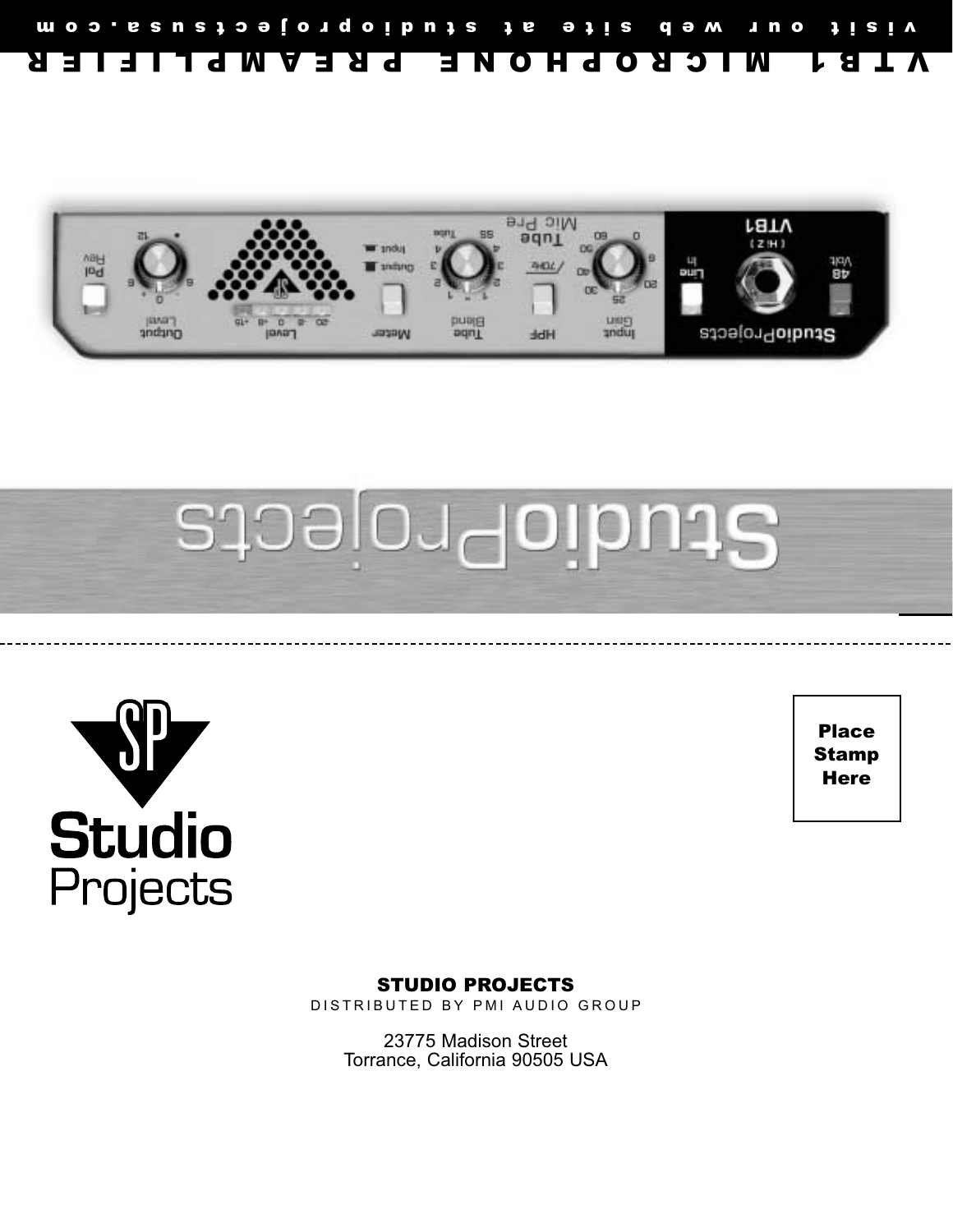







Place Stamp **Here** 

### STUDIO PROJECTS DISTRIBUTED BY PMI AUDIO GROUP

23775 Madison Street

Torrance, California 90505 USA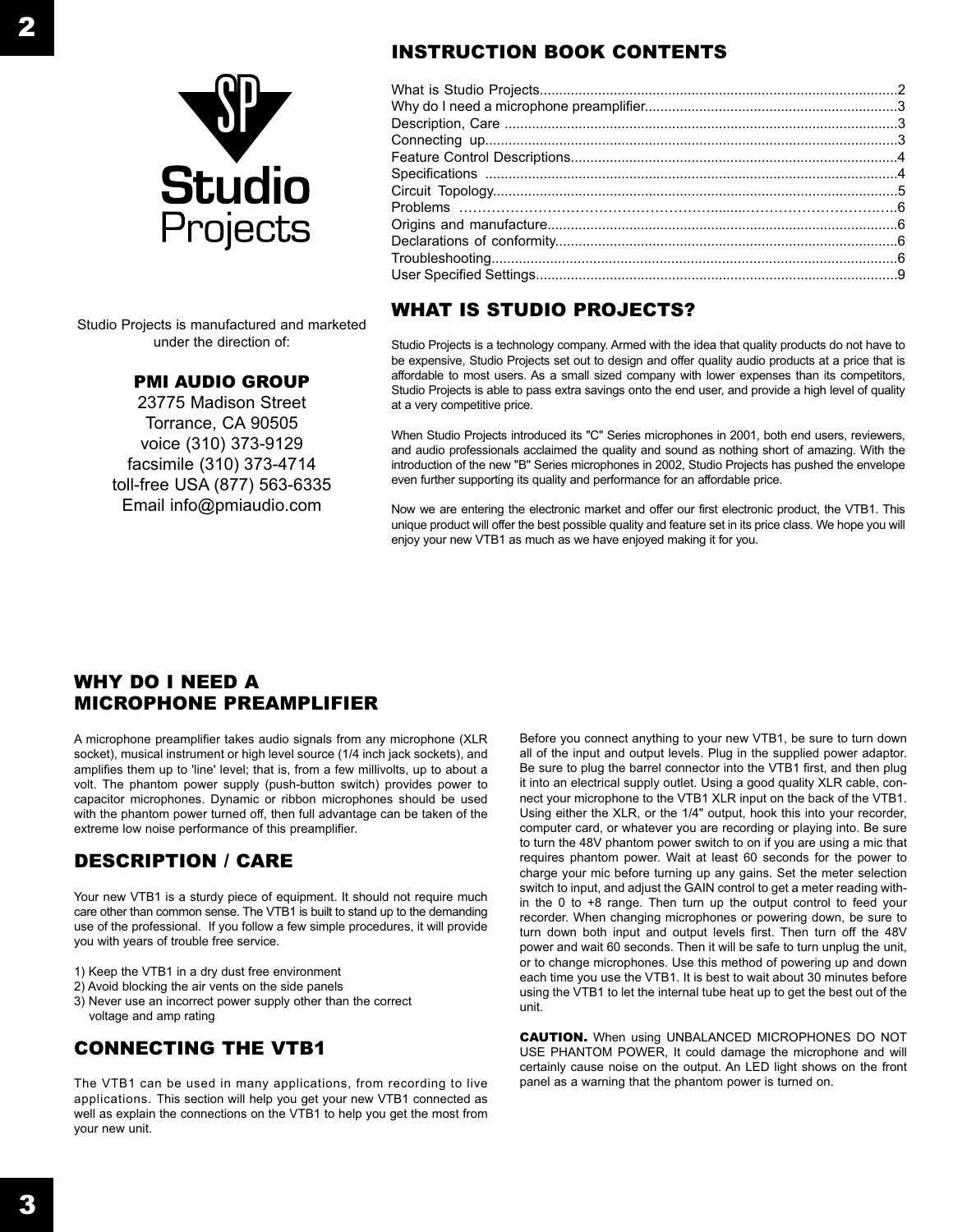

Studio Projects is manufactured and marketed under the direction of:

## PMI AUDIO GROUP

23775 Madison StreetTorrance, CA 90505 voice (310) 373-9129 facsimile (310) 373-4714 toll-free USA (877) 563-6335 Email info@pmiaudio.com

# INSTRUCTION BOOK CONTENTS

## WHAT IS STUDIO PROJECTS?

Studio Projects is a technology company. Armed with the idea that quality products do not have to be expensive, Studio Projects set out to design and offer quality audio products at a price that is affordable to most users. As a small sized company with lower expenses than its competitors, Studio Projects is able to pass extra savings onto the end user, and provide a high level of quality at a very competitive price.

When Studio Projects introduced its "C" Series microphones in 2001, both end users, reviewers, and audio professionals acclaimed the quality and sound as nothing short of amazing. With the introduction of the new "B" Series microphones in 2002, Studio Projects has pushed the envelope even further supporting its quality and performance for an affordable price.

Now we are entering the electronic market and offer our first electronic product, the VTB1. This unique product will offer the best possible quality and feature set in its price class. We hope you will enjoy your new VTB1 as much as we have enjoyed making it for you.

## WHY DO I NEED A MICROPHONE PREAMPLIFIER

A microphone preamplifier takes audio signals from any microphone (XLR socket), musical instrument or high level source (1/4 inch jack sockets), and amplifies them up to 'line' level; that is, from a few millivolts, up to about a volt. The phantom power supply (push-button switch) provides power to capacitor microphones. Dynamic or ribbon microphones should be used with the phantom power turned off, then full advantage can be taken of the extreme low noise performance of this preamplifier.

# DESCRIPTION / CARE

Your new VTB1 is a sturdy piece of equipment. It should not require much care other than common sense. The VTB1 is built to stand up to the demanding use of the professional. If you follow a few simple procedures, it will provide you with years of trouble free service.

- 1) Keep the VTB1 in a dry dust free environment
- 2) Avoid blocking the air vents on the side panels
- 3) Never use an incorrect power supply other than the correct voltage and amp rating

# CONNECTING THE VTB1

The VTB1 can be used in many applications, from recording to live applications. This section will help you get your new VTB1 connected as well as explain the connections on the VTB1 to help you get the most from your new unit.

Before you connect anything to your new VTB1, be sure to turn down all of the input and output levels. Plug in the supplied power adaptor. Be sure to plug the barrel connector into the VTB1 first, and then plug it into an electrical supply outlet. Using a good quality XLR cable, connect your microphone to the VTB1 XLR input on the back of the VTB1. Using either the XLR, or the 1/4" output, hook this into your recorder, computer card, or whatever you are recording or playing into. Be sure to turn the 48V phantom power switch to on if you are using a mic that requires phantom power. Wait at least 60 seconds for the power to charge your mic before turning up any gains. Set the meter selection switch to input, and adjust the GAIN control to get a meter reading within the 0 to +8 range. Then turn up the output control to feed your recorder. When changing microphones or powering down, be sure to turn down both input and output levels first. Then turn off the 48V power and wait 60 seconds. Then it will be safe to turn unplug the unit, or to change microphones. Use this method of powering up and down each time you use the VTB1. It is best to wait about 30 minutes before using the VTB1 to let the internal tube heat up to get the best out of the unit.

CAUTION. When using UNBALANCED MICROPHONES DO NOT USE PHANTOM POWER, It could damage the microphone and will certainly cause noise on the output. An LED light shows on the front panel as a warning that the phantom power is turned on.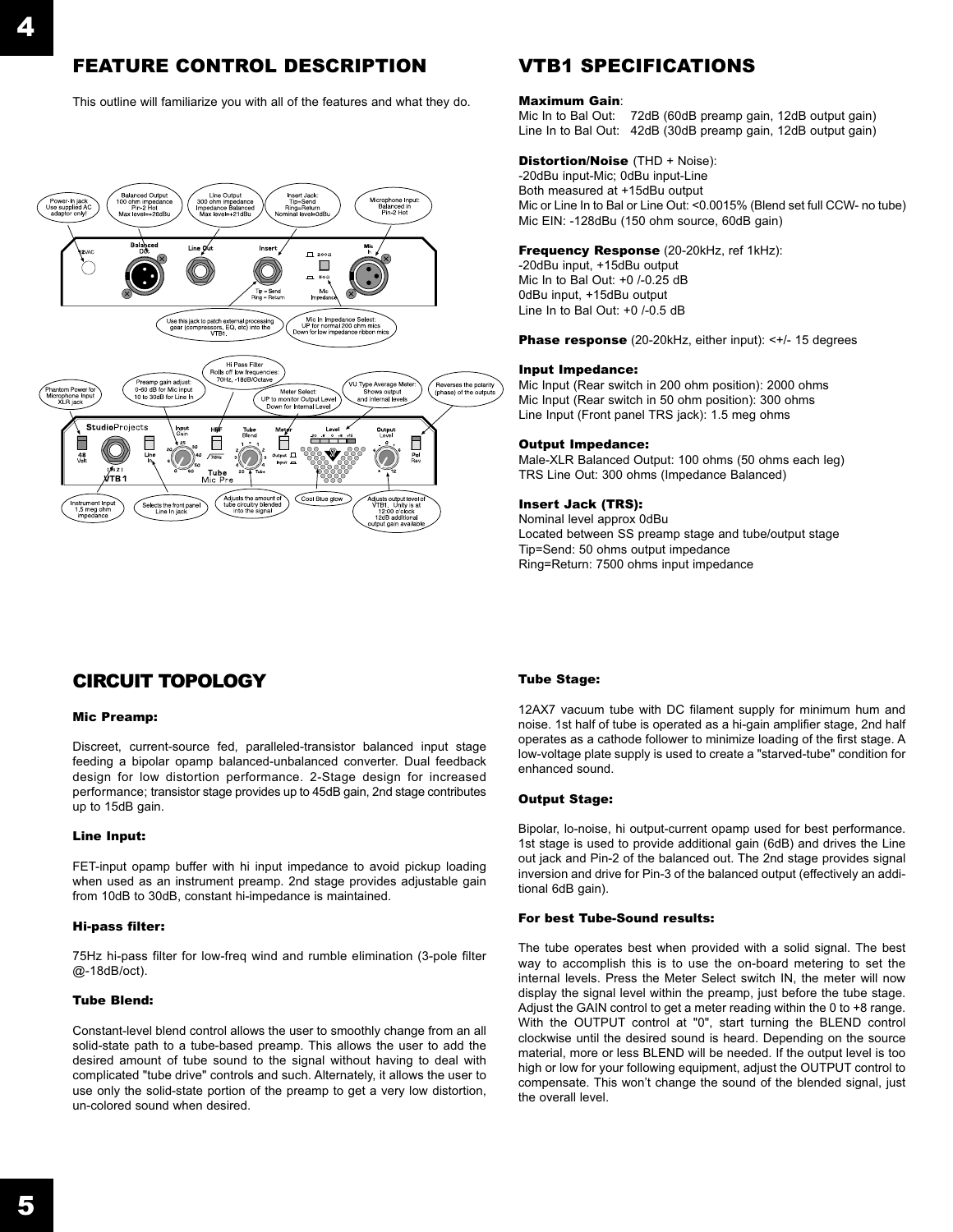# FEATURE CONTROL DESCRIPTION

This outline will familiarize you with all of the features and what they do.



# VTB1 SPECIFICATIONS

#### Maximum Gain:

Mic In to Bal Out: 72dB (60dB preamp gain, 12dB output gain) Line In to Bal Out: 42dB (30dB preamp gain, 12dB output gain)

### Distortion/Noise (THD + Noise):

-20dBu input-Mic; 0dBu input-Line Both measured at +15dBu output Mic or Line In to Bal or Line Out: <0.0015% (Blend set full CCW- no tube) Mic EIN: -128dBu (150 ohm source, 60dB gain)

### Frequency Response (20-20kHz, ref 1kHz):

-20dBu input, +15dBu output Mic In to Bal Out: +0 /-0.25 dB0dBu input, +15dBu output Line In to Bal Out: +0 /-0.5 dB

Phase response (20-20kHz, either input): <+/- 15 degrees

### Input Impedance:

Mic Input (Rear switch in 200 ohm position): 2000 ohms Mic Input (Rear switch in 50 ohm position): 300 ohms Line Input (Front panel TRS jack): 1.5 meg ohms

### Output Impedance:

Male-XLR Balanced Output: 100 ohms (50 ohms each leg) TRS Line Out: 300 ohms (Impedance Balanced)

### Insert Jack (TRS):

Nominal level approx 0dBu Located between SS preamp stage and tube/output stage Tip=Send: 50 ohms output impedance Ring=Return: 7500 ohms input impedance

## CIRCUIT TOPOLOGY

### Mic Preamp:

Discreet, current-source fed, paralleled-transistor balanced input stage feeding a bipolar opamp balanced-unbalanced converter. Dual feedback design for low distortion performance. 2-Stage design for increased performance; transistor stage provides up to 45dB gain, 2nd stage contributes up to 15dB gain.

### Line Input:

FET-input opamp buffer with hi input impedance to avoid pickup loading when used as an instrument preamp. 2nd stage provides adjustable gain from 10dB to 30dB, constant hi-impedance is maintained.

#### Hi-pass filter:

75Hz hi-pass filter for low-freq wind and rumble elimination (3-pole filter @-18dB/oct).

#### Tube Blend:

Constant-level blend control allows the user to smoothly change from an all solid-state path to a tube-based preamp. This allows the user to add the desired amount of tube sound to the signal without having to deal with complicated "tube drive" controls and such. Alternately, it allows the user to use only the solid-state portion of the preamp to get a very low distortion, un-colored sound when desired.

#### Tube Stage:

12AX7 vacuum tube with DC filament supply for minimum hum and noise. 1st half of tube is operated as a hi-gain amplifier stage, 2nd half operates as a cathode follower to minimize loading of the first stage. A low-voltage plate supply is used to create a "starved-tube" condition for enhanced sound.

#### Output Stage:

Bipolar, lo-noise, hi output-current opamp used for best performance. 1st stage is used to provide additional gain (6dB) and drives the Line out jack and Pin-2 of the balanced out. The 2nd stage provides signal inversion and drive for Pin-3 of the balanced output (effectively an additional 6dB gain).

### For best Tube-Sound results:

The tube operates best when provided with a solid signal. The best way to accomplish this is to use the on-board metering to set the internal levels. Press the Meter Select switch IN, the meter will now display the signal level within the preamp, just before the tube stage. Adjust the GAIN control to get a meter reading within the 0 to +8 range. With the OUTPUT control at "0", start turning the BLEND control clockwise until the desired sound is heard. Depending on the source material, more or less BLEND will be needed. If the output level is too high or low for your following equipment, adjust the OUTPUT control to compensate. This won't change the sound of the blended signal, just the overall level.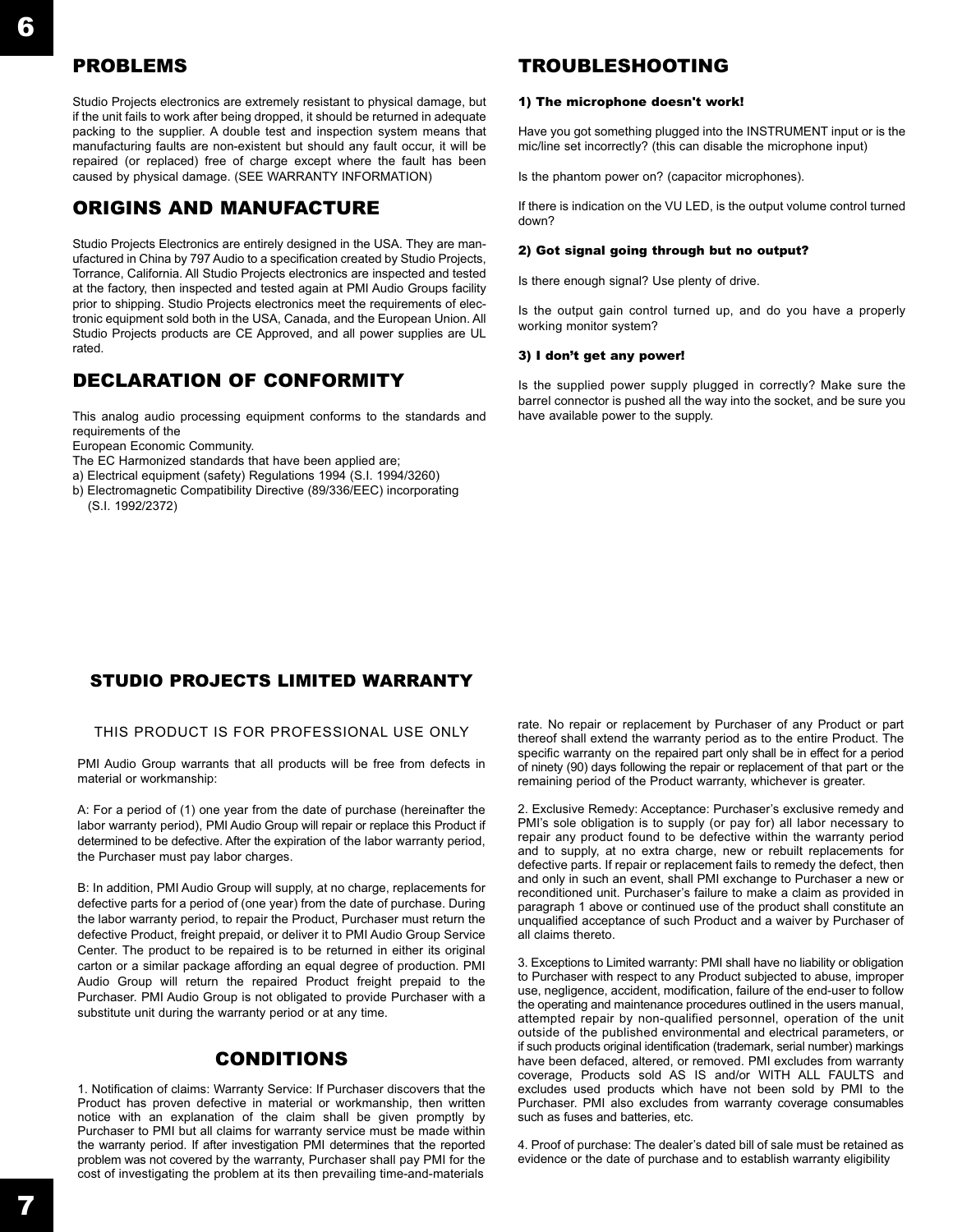# PROBLEMS

Studio Projects electronics are extremely resistant to physical damage, but if the unit fails to work after being dropped, it should be returned in adequate packing to the supplier. A double test and inspection system means that manufacturing faults are non-existent but should any fault occur, it will be repaired (or replaced) free of charge except where the fault has been caused by physical damage. (SEE WARRANTY INFORMATION)

# ORIGINS AND MANUFACTURE

Studio Projects Electronics are entirely designed in the USA. They are manufactured in China by 797 Audio to a specification created by Studio Projects, Torrance, California. All Studio Projects electronics are inspected and tested at the factory, then inspected and tested again at PMI Audio Groups facility prior to shipping. Studio Projects electronics meet the requirements of electronic equipment sold both in the USA, Canada, and the European Union. All Studio Projects products are CE Approved, and all power supplies are UL rated.

# DECLARATION OF CONFORMITY

This analog audio processing equipment conforms to the standards and requirements of the

European Economic Community.

- The EC Harmonized standards that have been applied are;
- a) Electrical equipment (safety) Regulations 1994 (S.I. 1994/3260)
- b) Electromagnetic Compatibility Directive (89/336/EEC) incorporating (S.I. 1992/2372)

## TROUBLESHOOTING

#### 1) The microphone doesn't work!

Have you got something plugged into the INSTRUMENT input or is the mic/line set incorrectly? (this can disable the microphone input)

Is the phantom power on? (capacitor microphones).

If there is indication on the VU LED, is the output volume control turned down?

### 2) Got signal going through but no output?

Is there enough signal? Use plenty of drive.

Is the output gain control turned up, and do you have a properly working monitor system?

### 3) I don't get any power!

Is the supplied power supply plugged in correctly? Make sure the barrel connector is pushed all the way into the socket, and be sure you have available power to the supply.

## STUDIO PROJECTS LIMITED WARRANTY

### THIS PRODUCT IS FOR PROFESSIONAL USE ONLY

PMI Audio Group warrants that all products will be free from defects in material or workmanship:

A: For a period of (1) one year from the date of purchase (hereinafter the labor warranty period), PMI Audio Group will repair or replace this Product if determined to be defective. After the expiration of the labor warranty period, the Purchaser must pay labor charges.

B: In addition, PMI Audio Group will supply, at no charge, replacements for defective parts for a period of (one year) from the date of purchase. During the labor warranty period, to repair the Product, Purchaser must return the defective Product, freight prepaid, or deliver it to PMI Audio Group Service Center. The product to be repaired is to be returned in either its original carton or a similar package affording an equal degree of production. PMI Audio Group will return the repaired Product freight prepaid to the Purchaser. PMI Audio Group is not obligated to provide Purchaser with a substitute unit during the warranty period or at any time.

## CONDITIONS

1. Notification of claims: Warranty Service: If Purchaser discovers that the Product has proven defective in material or workmanship, then written notice with an explanation of the claim shall be given promptly by Purchaser to PMI but all claims for warranty service must be made within the warranty period. If after investigation PMI determines that the reported problem was not covered by the warranty, Purchaser shall pay PMI for the cost of investigating the problem at its then prevailing time-and-materials

rate. No repair or replacement by Purchaser of any Product or part thereof shall extend the warranty period as to the entire Product. The specific warranty on the repaired part only shall be in effect for a period of ninety (90) days following the repair or replacement of that part or the remaining period of the Product warranty, whichever is greater.

2. Exclusive Remedy: Acceptance: Purchaser's exclusive remedy and PMI's sole obligation is to supply (or pay for) all labor necessary to repair any product found to be defective within the warranty period and to supply, at no extra charge, new or rebuilt replacements for defective parts. If repair or replacement fails to remedy the defect, then and only in such an event, shall PMI exchange to Purchaser a new or reconditioned unit. Purchaser's failure to make a claim as provided in paragraph 1 above or continued use of the product shall constitute an unqualified acceptance of such Product and a waiver by Purchaser of all claims thereto.

3. Exceptions to Limited warranty: PMI shall have no liability or obligation to Purchaser with respect to any Product subjected to abuse, improper use, negligence, accident, modification, failure of the end-user to follow the operating and maintenance procedures outlined in the users manual, attempted repair by non-qualified personnel, operation of the unit outside of the published environmental and electrical parameters, or if such products original identification (trademark, serial number) markings have been defaced, altered, or removed. PMI excludes from warranty coverage, Products sold AS IS and/or WITH ALL FAULTS and excludes used products which have not been sold by PMI to the Purchaser. PMI also excludes from warranty coverage consumables such as fuses and batteries, etc.

4. Proof of purchase: The dealer's dated bill of sale must be retained as evidence or the date of purchase and to establish warranty eligibility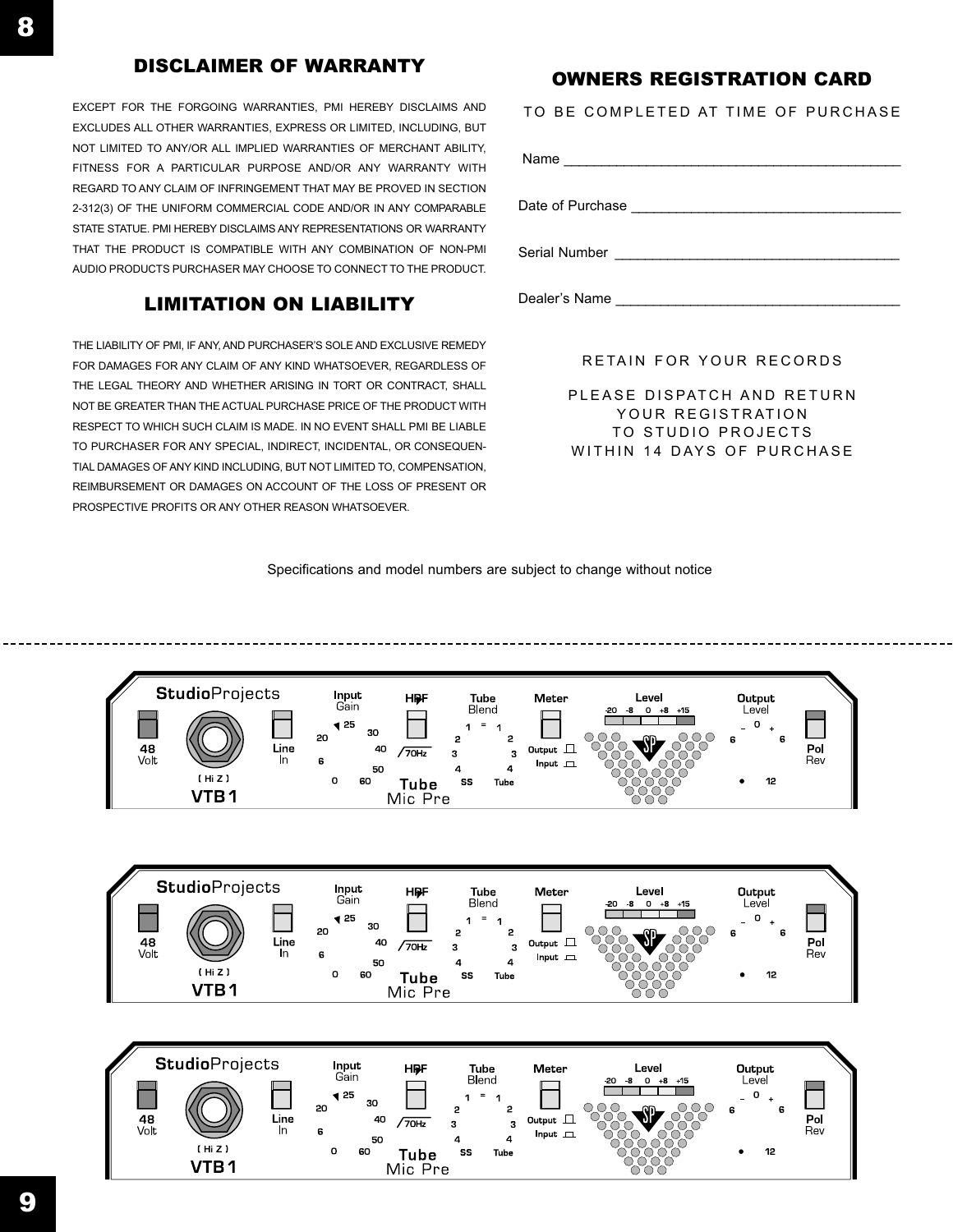# DISCLAIMER OF WARRANTY

EXCEPT FOR THE FORGOING WARRANTIES, PMI HEREBY DISCLAIMS AND EXCLUDES ALL OTHER WARRANTIES, EXPRESS OR LIMITED, INCLUDING, BUT NOT LIMITED TO ANY/OR ALL IMPLIED WARRANTIES OF MERCHANT ABILITY, FITNESS FOR A PARTICULAR PURPOSE AND/OR ANY WARRANTY WITHREGARD TO ANY CLAIM OF INFRINGEMENT THAT MAY BE PROVED IN SECTION2-312(3) OF THE UNIFORM COMMERCIAL CODE AND/OR IN ANY COMPARABLE STATE STATUE. PMI HEREBY DISCLAIMS ANY REPRESENTATIONS OR WARRANTYTHAT THE PRODUCT IS COMPATIBLE WITH ANY COMBINATION OF NON-PMIAUDIO PRODUCTS PURCHASER MAY CHOOSE TO CONNECT TO THE PRODUCT.

# LIMITATION ON LIABILITY

THE LIABILITY OF PMI, IF ANY, AND PURCHASER'S SOLE AND EXCLUSIVE REMEDY FOR DAMAGES FOR ANY CLAIM OF ANY KIND WHATSOEVER, REGARDLESS OF THE LEGAL THEORY AND WHETHER ARISING IN TORT OR CONTRACT, SHALL NOT BE GREATER THAN THE ACTUAL PURCHASE PRICE OF THE PRODUCT WITHRESPECT TO WHICH SUCH CLAIM IS MADE. IN NO EVENT SHALL PMI BE LIABLE TO PURCHASER FOR ANY SPECIAL, INDIRECT, INCIDENTAL, OR CONSEQUEN-TIAL DAMAGES OF ANY KIND INCLUDING, BUT NOT LIMITED TO, COMPENSATION, REIMBURSEMENT OR DAMAGES ON ACCOUNT OF THE LOSS OF PRESENT ORPROSPECTIVE PROFITS OR ANY OTHER REASON WHATSOEVER.

# OWNERS REGISTRATION CARD

TO BE COMPLETED AT TIME OF PURCHASEName Date of Purchase \_\_\_\_\_\_\_\_\_\_\_\_\_\_\_\_\_\_\_\_\_\_\_\_\_\_\_\_\_\_\_\_\_\_\_\_ Serial Number \_\_\_\_\_\_\_\_\_\_\_\_\_\_\_\_\_\_\_\_\_\_\_\_\_\_\_\_\_\_\_\_\_\_\_\_\_\_

Dealer's Name \_\_\_\_\_\_\_\_\_\_\_\_\_\_\_\_\_\_\_\_\_\_\_\_\_\_\_\_\_\_\_\_\_\_\_\_\_\_

### RETAIN FOR YOUR RECORDS

PLEASE DISPATCH AND RETURN YOUR REGISTRATION TO STUDIO PROJECTS WITHIN 14 DAYS OF PURCHASE

Specifications and model numbers are subject to change without notice